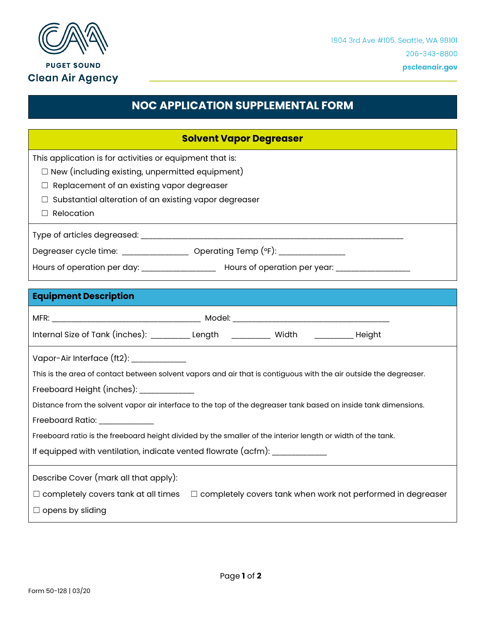

**PUGET SOUND Clean Air Agency** 

## **NOC APPLICATION SUPPLEMENTAL FORM**

| <b>Solvent Vapor Degreaser</b>                                                                                    |
|-------------------------------------------------------------------------------------------------------------------|
| This application is for activities or equipment that is:                                                          |
| $\Box$ New (including existing, unpermitted equipment)                                                            |
| Replacement of an existing vapor degreaser                                                                        |
| Substantial alteration of an existing vapor degreaser                                                             |
| Relocation                                                                                                        |
|                                                                                                                   |
| Degreaser cycle time: __________________ Operating Temp (°F): _________________                                   |
| Hours of operation per day: ______________________ Hours of operation per year: ___________________               |
| <b>Equipment Description</b>                                                                                      |
|                                                                                                                   |
| Internal Size of Tank (inches): ________ Length _________ Width _________ Height                                  |
| Vapor-Air Interface (ft2): \\square\\sqmain@                                                                      |
| This is the area of contact between solvent vapors and air that is contiguous with the air outside the degreaser. |
| Freeboard Height (inches): ____________                                                                           |
| Distance from the solvent vapor air interface to the top of the degreaser tank based on inside tank dimensions.   |
| Freeboard Ratio: ___________                                                                                      |
| Freeboard ratio is the freeboard height divided by the smaller of the interior length or width of the tank.       |
| If equipped with ventilation, indicate vented flowrate (acfm): _________________                                  |
| Describe Cover (mark all that apply):                                                                             |
| $\Box$ completely covers tank when work not performed in degreaser<br>$\Box$ completely covers tank at all times  |
| $\Box$ opens by sliding                                                                                           |